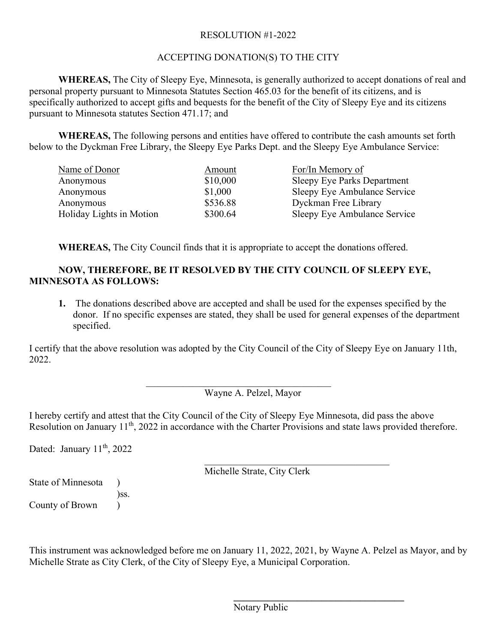# RESOLUTION #1-2022

# ACCEPTING DONATION(S) TO THE CITY

**WHEREAS,** The City of Sleepy Eye, Minnesota, is generally authorized to accept donations of real and personal property pursuant to Minnesota Statutes Section 465.03 for the benefit of its citizens, and is specifically authorized to accept gifts and bequests for the benefit of the City of Sleepy Eye and its citizens pursuant to Minnesota statutes Section 471.17; and

**WHEREAS,** The following persons and entities have offered to contribute the cash amounts set forth below to the Dyckman Free Library, the Sleepy Eye Parks Dept. and the Sleepy Eye Ambulance Service:

| Name of Donor            | Amount   | For/In Memory of                   |
|--------------------------|----------|------------------------------------|
| Anonymous                | \$10,000 | <b>Sleepy Eye Parks Department</b> |
| Anonymous                | \$1,000  | Sleepy Eye Ambulance Service       |
| Anonymous                | \$536.88 | Dyckman Free Library               |
| Holiday Lights in Motion | \$300.64 | Sleepy Eye Ambulance Service       |

**WHEREAS,** The City Council finds that it is appropriate to accept the donations offered.

# **NOW, THEREFORE, BE IT RESOLVED BY THE CITY COUNCIL OF SLEEPY EYE, MINNESOTA AS FOLLOWS:**

**1.** The donations described above are accepted and shall be used for the expenses specified by the donor. If no specific expenses are stated, they shall be used for general expenses of the department specified.

I certify that the above resolution was adopted by the City Council of the City of Sleepy Eye on January 11th, 2022.

\_\_\_\_\_\_\_\_\_\_\_\_\_\_\_\_\_\_\_\_\_\_\_\_\_\_\_\_\_\_\_\_\_\_\_\_\_\_

Wayne A. Pelzel, Mayor

I hereby certify and attest that the City Council of the City of Sleepy Eye Minnesota, did pass the above Resolution on January 11<sup>th</sup>, 2022 in accordance with the Charter Provisions and state laws provided therefore.

Dated: January 11<sup>th</sup>, 2022

Michelle Strate, City Clerk

\_\_\_\_\_\_\_\_\_\_\_\_\_\_\_\_\_\_\_\_\_\_\_\_\_\_\_\_\_\_\_\_\_\_\_\_\_\_

**\_\_\_\_\_\_\_\_\_\_\_\_\_\_\_\_\_\_\_\_\_\_\_\_\_\_\_\_\_\_\_\_\_\_\_**

State of Minnesota )

)ss.

County of Brown )

This instrument was acknowledged before me on January 11, 2022, 2021, by Wayne A. Pelzel as Mayor, and by Michelle Strate as City Clerk, of the City of Sleepy Eye, a Municipal Corporation.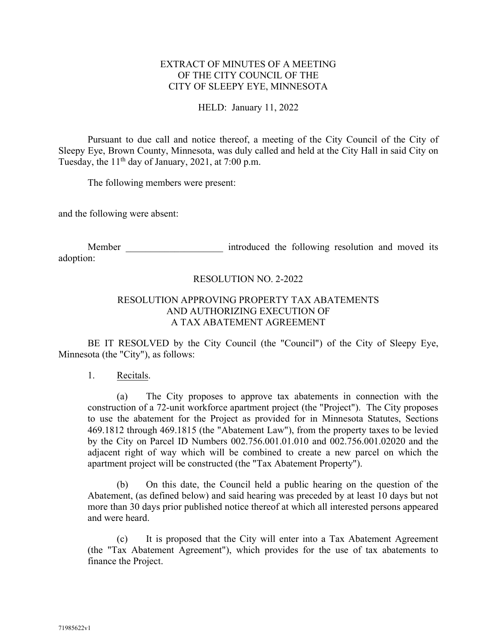## EXTRACT OF MINUTES OF A MEETING OF THE CITY COUNCIL OF THE CITY OF SLEEPY EYE, MINNESOTA

## HELD: January 11, 2022

Pursuant to due call and notice thereof, a meeting of the City Council of the City of Sleepy Eye, Brown County, Minnesota, was duly called and held at the City Hall in said City on Tuesday, the  $11<sup>th</sup>$  day of January, 2021, at 7:00 p.m.

The following members were present:

and the following were absent:

Member **Member** introduced the following resolution and moved its adoption:

## RESOLUTION NO. 2-2022

## RESOLUTION APPROVING PROPERTY TAX ABATEMENTS AND AUTHORIZING EXECUTION OF A TAX ABATEMENT AGREEMENT

BE IT RESOLVED by the City Council (the "Council") of the City of Sleepy Eye, Minnesota (the "City"), as follows:

1. Recitals.

(a) The City proposes to approve tax abatements in connection with the construction of a 72-unit workforce apartment project (the "Project"). The City proposes to use the abatement for the Project as provided for in Minnesota Statutes, Sections 469.1812 through 469.1815 (the "Abatement Law"), from the property taxes to be levied by the City on Parcel ID Numbers 002.756.001.01.010 and 002.756.001.02020 and the adjacent right of way which will be combined to create a new parcel on which the apartment project will be constructed (the "Tax Abatement Property").

(b) On this date, the Council held a public hearing on the question of the Abatement, (as defined below) and said hearing was preceded by at least 10 days but not more than 30 days prior published notice thereof at which all interested persons appeared and were heard.

(c) It is proposed that the City will enter into a Tax Abatement Agreement (the "Tax Abatement Agreement"), which provides for the use of tax abatements to finance the Project.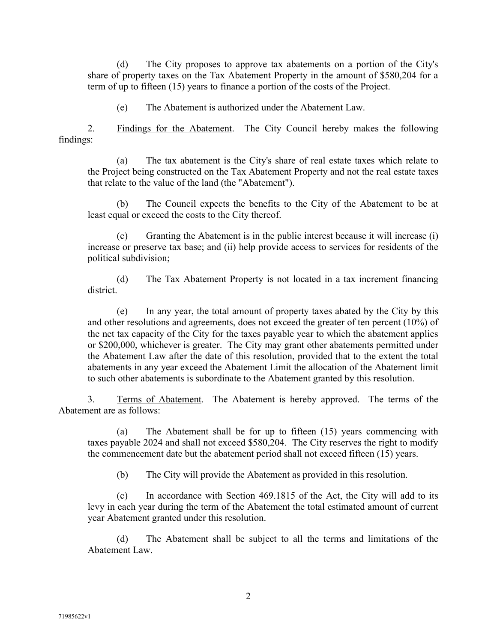(d) The City proposes to approve tax abatements on a portion of the City's share of property taxes on the Tax Abatement Property in the amount of \$580,204 for a term of up to fifteen (15) years to finance a portion of the costs of the Project.

(e) The Abatement is authorized under the Abatement Law.

2. Findings for the Abatement. The City Council hereby makes the following findings:

(a) The tax abatement is the City's share of real estate taxes which relate to the Project being constructed on the Tax Abatement Property and not the real estate taxes that relate to the value of the land (the "Abatement").

(b) The Council expects the benefits to the City of the Abatement to be at least equal or exceed the costs to the City thereof.

(c) Granting the Abatement is in the public interest because it will increase (i) increase or preserve tax base; and (ii) help provide access to services for residents of the political subdivision;

(d) The Tax Abatement Property is not located in a tax increment financing district.

(e) In any year, the total amount of property taxes abated by the City by this and other resolutions and agreements, does not exceed the greater of ten percent (10%) of the net tax capacity of the City for the taxes payable year to which the abatement applies or \$200,000, whichever is greater. The City may grant other abatements permitted under the Abatement Law after the date of this resolution, provided that to the extent the total abatements in any year exceed the Abatement Limit the allocation of the Abatement limit to such other abatements is subordinate to the Abatement granted by this resolution.

3. Terms of Abatement. The Abatement is hereby approved. The terms of the Abatement are as follows:

(a) The Abatement shall be for up to fifteen (15) years commencing with taxes payable 2024 and shall not exceed \$580,204. The City reserves the right to modify the commencement date but the abatement period shall not exceed fifteen (15) years.

(b) The City will provide the Abatement as provided in this resolution.

(c) In accordance with Section 469.1815 of the Act, the City will add to its levy in each year during the term of the Abatement the total estimated amount of current year Abatement granted under this resolution.

(d) The Abatement shall be subject to all the terms and limitations of the Abatement Law.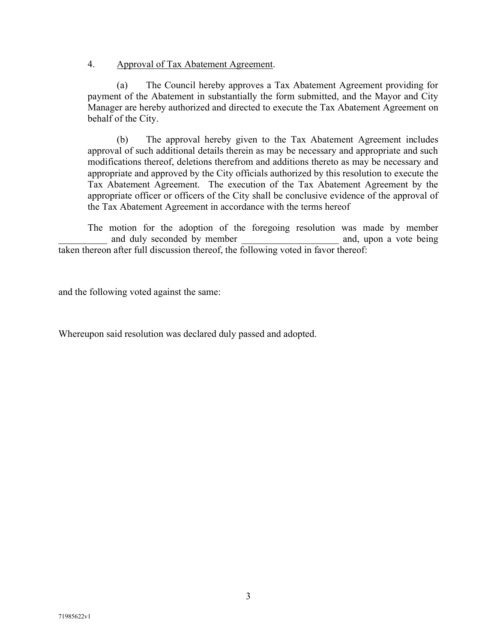## 4. Approval of Tax Abatement Agreement.

(a) The Council hereby approves a Tax Abatement Agreement providing for payment of the Abatement in substantially the form submitted, and the Mayor and City Manager are hereby authorized and directed to execute the Tax Abatement Agreement on behalf of the City.

(b) The approval hereby given to the Tax Abatement Agreement includes approval of such additional details therein as may be necessary and appropriate and such modifications thereof, deletions therefrom and additions thereto as may be necessary and appropriate and approved by the City officials authorized by this resolution to execute the Tax Abatement Agreement. The execution of the Tax Abatement Agreement by the appropriate officer or officers of the City shall be conclusive evidence of the approval of the Tax Abatement Agreement in accordance with the terms hereof

The motion for the adoption of the foregoing resolution was made by member and duly seconded by member and, upon a vote being taken thereon after full discussion thereof, the following voted in favor thereof:

and the following voted against the same:

Whereupon said resolution was declared duly passed and adopted.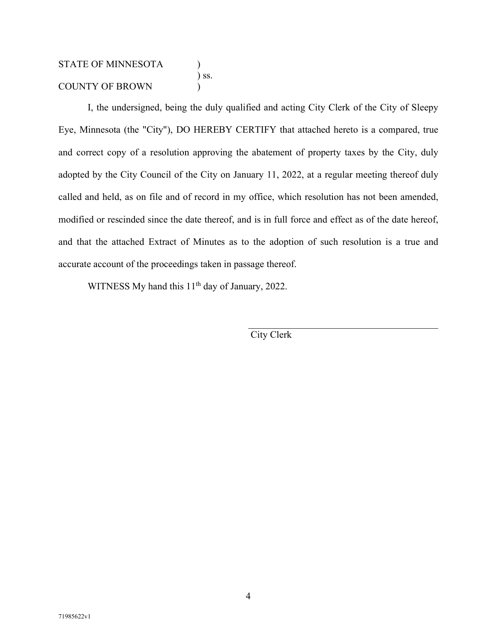# STATE OF MINNESOTA ) ) ss. COUNTY OF BROWN )

I, the undersigned, being the duly qualified and acting City Clerk of the City of Sleepy Eye, Minnesota (the "City"), DO HEREBY CERTIFY that attached hereto is a compared, true and correct copy of a resolution approving the abatement of property taxes by the City, duly adopted by the City Council of the City on January 11, 2022, at a regular meeting thereof duly called and held, as on file and of record in my office, which resolution has not been amended, modified or rescinded since the date thereof, and is in full force and effect as of the date hereof, and that the attached Extract of Minutes as to the adoption of such resolution is a true and accurate account of the proceedings taken in passage thereof.

WITNESS My hand this 11<sup>th</sup> day of January, 2022.

City Clerk

 $\mathcal{L}_\text{max}$  and  $\mathcal{L}_\text{max}$  and  $\mathcal{L}_\text{max}$  and  $\mathcal{L}_\text{max}$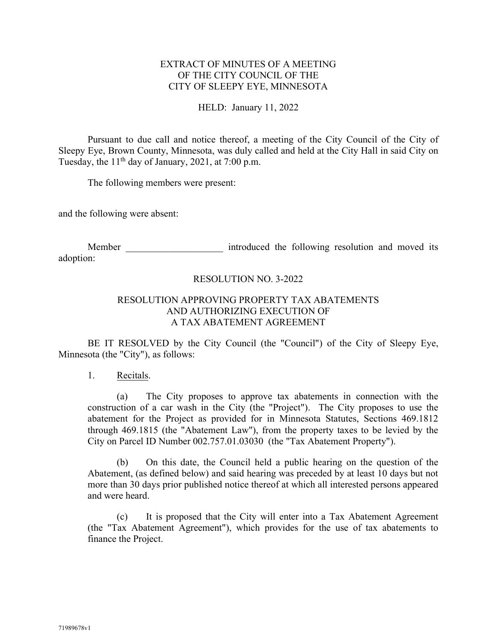## EXTRACT OF MINUTES OF A MEETING OF THE CITY COUNCIL OF THE CITY OF SLEEPY EYE, MINNESOTA

#### HELD: January 11, 2022

Pursuant to due call and notice thereof, a meeting of the City Council of the City of Sleepy Eye, Brown County, Minnesota, was duly called and held at the City Hall in said City on Tuesday, the  $11<sup>th</sup>$  day of January, 2021, at 7:00 p.m.

The following members were present:

and the following were absent:

Member **Member** introduced the following resolution and moved its adoption:

## RESOLUTION NO. 3-2022

## RESOLUTION APPROVING PROPERTY TAX ABATEMENTS AND AUTHORIZING EXECUTION OF A TAX ABATEMENT AGREEMENT

BE IT RESOLVED by the City Council (the "Council") of the City of Sleepy Eye, Minnesota (the "City"), as follows:

1. Recitals.

(a) The City proposes to approve tax abatements in connection with the construction of a car wash in the City (the "Project"). The City proposes to use the abatement for the Project as provided for in Minnesota Statutes, Sections 469.1812 through 469.1815 (the "Abatement Law"), from the property taxes to be levied by the City on Parcel ID Number 002.757.01.03030 (the "Tax Abatement Property").

(b) On this date, the Council held a public hearing on the question of the Abatement, (as defined below) and said hearing was preceded by at least 10 days but not more than 30 days prior published notice thereof at which all interested persons appeared and were heard.

(c) It is proposed that the City will enter into a Tax Abatement Agreement (the "Tax Abatement Agreement"), which provides for the use of tax abatements to finance the Project.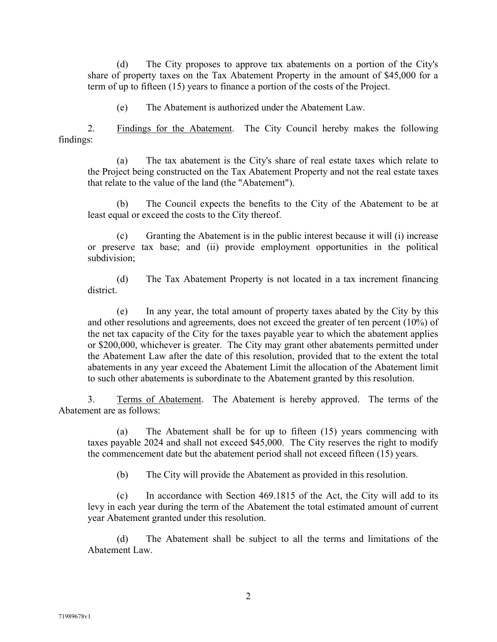(d) The City proposes to approve tax abatements on a portion of the City's share of property taxes on the Tax Abatement Property in the amount of \$45,000 for a term of up to fifteen (15) years to finance a portion of the costs of the Project.

(e) The Abatement is authorized under the Abatement Law.

2. Findings for the Abatement. The City Council hereby makes the following findings:

(a) The tax abatement is the City's share of real estate taxes which relate to the Project being constructed on the Tax Abatement Property and not the real estate taxes that relate to the value of the land (the "Abatement").

(b) The Council expects the benefits to the City of the Abatement to be at least equal or exceed the costs to the City thereof.

(c) Granting the Abatement is in the public interest because it will (i) increase or preserve tax base; and (ii) provide employment opportunities in the political subdivision;

(d) The Tax Abatement Property is not located in a tax increment financing district.

(e) In any year, the total amount of property taxes abated by the City by this and other resolutions and agreements, does not exceed the greater of ten percent (10%) of the net tax capacity of the City for the taxes payable year to which the abatement applies or \$200,000, whichever is greater. The City may grant other abatements permitted under the Abatement Law after the date of this resolution, provided that to the extent the total abatements in any year exceed the Abatement Limit the allocation of the Abatement limit to such other abatements is subordinate to the Abatement granted by this resolution.

3. Terms of Abatement. The Abatement is hereby approved. The terms of the Abatement are as follows:

(a) The Abatement shall be for up to fifteen (15) years commencing with taxes payable 2024 and shall not exceed \$45,000. The City reserves the right to modify the commencement date but the abatement period shall not exceed fifteen (15) years.

(b) The City will provide the Abatement as provided in this resolution.

(c) In accordance with Section 469.1815 of the Act, the City will add to its levy in each year during the term of the Abatement the total estimated amount of current year Abatement granted under this resolution.

(d) The Abatement shall be subject to all the terms and limitations of the Abatement Law.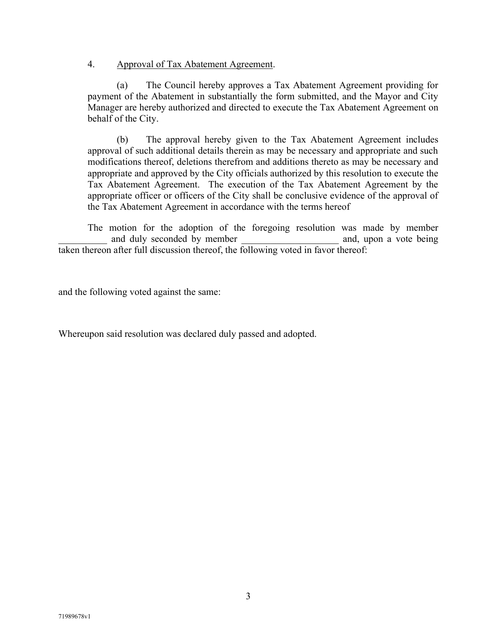## 4. Approval of Tax Abatement Agreement.

(a) The Council hereby approves a Tax Abatement Agreement providing for payment of the Abatement in substantially the form submitted, and the Mayor and City Manager are hereby authorized and directed to execute the Tax Abatement Agreement on behalf of the City.

(b) The approval hereby given to the Tax Abatement Agreement includes approval of such additional details therein as may be necessary and appropriate and such modifications thereof, deletions therefrom and additions thereto as may be necessary and appropriate and approved by the City officials authorized by this resolution to execute the Tax Abatement Agreement. The execution of the Tax Abatement Agreement by the appropriate officer or officers of the City shall be conclusive evidence of the approval of the Tax Abatement Agreement in accordance with the terms hereof

The motion for the adoption of the foregoing resolution was made by member and duly seconded by member and, upon a vote being taken thereon after full discussion thereof, the following voted in favor thereof:

and the following voted against the same:

Whereupon said resolution was declared duly passed and adopted.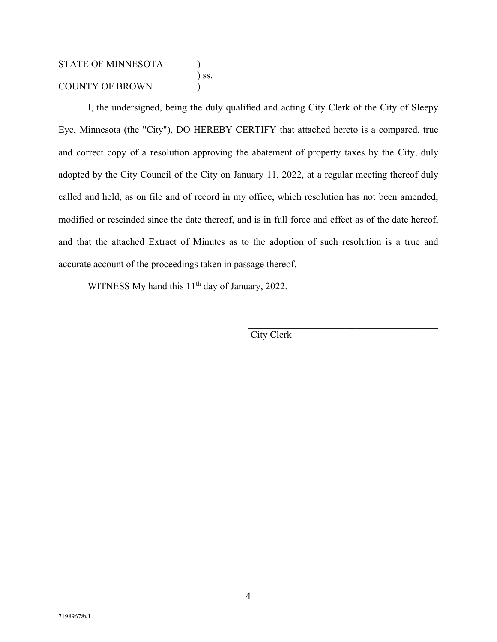# STATE OF MINNESOTA ) ) ss. COUNTY OF BROWN (1)

I, the undersigned, being the duly qualified and acting City Clerk of the City of Sleepy Eye, Minnesota (the "City"), DO HEREBY CERTIFY that attached hereto is a compared, true and correct copy of a resolution approving the abatement of property taxes by the City, duly adopted by the City Council of the City on January 11, 2022, at a regular meeting thereof duly called and held, as on file and of record in my office, which resolution has not been amended, modified or rescinded since the date thereof, and is in full force and effect as of the date hereof, and that the attached Extract of Minutes as to the adoption of such resolution is a true and accurate account of the proceedings taken in passage thereof.

WITNESS My hand this 11<sup>th</sup> day of January, 2022.

City Clerk

 $\mathcal{L}_\text{max}$  and  $\mathcal{L}_\text{max}$  and  $\mathcal{L}_\text{max}$  and  $\mathcal{L}_\text{max}$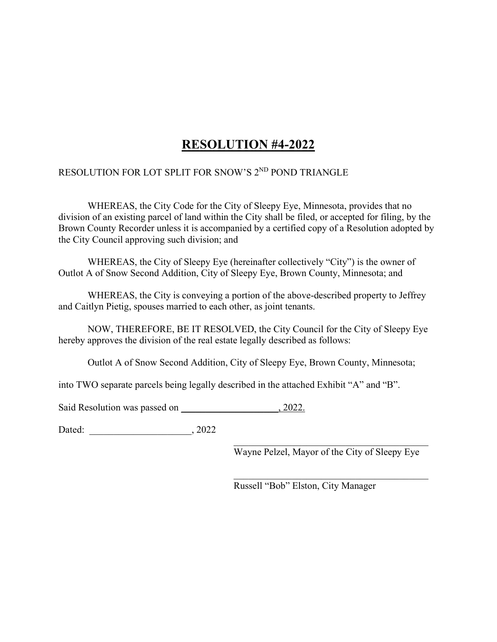# **RESOLUTION #4-2022**

# RESOLUTION FOR LOT SPLIT FOR SNOW'S 2<sup>ND</sup> POND TRIANGLE

WHEREAS, the City Code for the City of Sleepy Eye, Minnesota, provides that no division of an existing parcel of land within the City shall be filed, or accepted for filing, by the Brown County Recorder unless it is accompanied by a certified copy of a Resolution adopted by the City Council approving such division; and

WHEREAS, the City of Sleepy Eye (hereinafter collectively "City") is the owner of Outlot A of Snow Second Addition, City of Sleepy Eye, Brown County, Minnesota; and

WHEREAS, the City is conveying a portion of the above-described property to Jeffrey and Caitlyn Pietig, spouses married to each other, as joint tenants.

NOW, THEREFORE, BE IT RESOLVED, the City Council for the City of Sleepy Eye hereby approves the division of the real estate legally described as follows:

Outlot A of Snow Second Addition, City of Sleepy Eye, Brown County, Minnesota;

into TWO separate parcels being legally described in the attached Exhibit "A" and "B".

Said Resolution was passed on  $, 2022$ .

Dated: \_\_\_\_\_\_\_\_\_\_\_\_\_\_\_\_\_\_\_\_\_, 2022

\_\_\_\_\_\_\_\_\_\_\_\_\_\_\_\_\_\_\_\_\_\_\_\_\_\_\_\_\_\_\_\_\_\_\_\_\_\_\_\_ Wayne Pelzel, Mayor of the City of Sleepy Eye

Russell "Bob" Elston, City Manager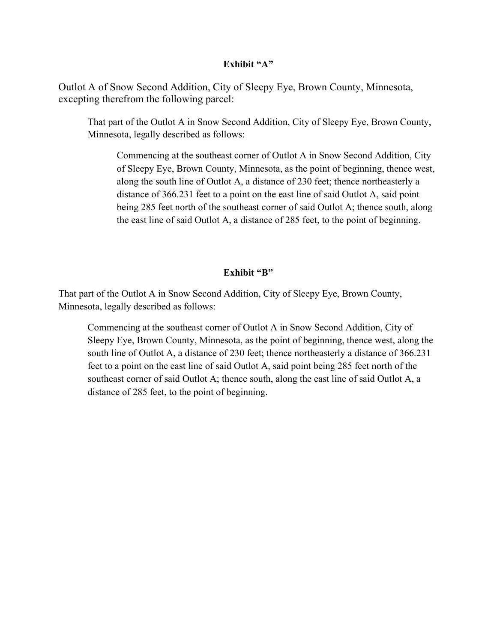#### **Exhibit "A"**

Outlot A of Snow Second Addition, City of Sleepy Eye, Brown County, Minnesota, excepting therefrom the following parcel:

That part of the Outlot A in Snow Second Addition, City of Sleepy Eye, Brown County, Minnesota, legally described as follows:

Commencing at the southeast corner of Outlot A in Snow Second Addition, City of Sleepy Eye, Brown County, Minnesota, as the point of beginning, thence west, along the south line of Outlot A, a distance of 230 feet; thence northeasterly a distance of 366.231 feet to a point on the east line of said Outlot A, said point being 285 feet north of the southeast corner of said Outlot A; thence south, along the east line of said Outlot A, a distance of 285 feet, to the point of beginning.

## **Exhibit "B"**

That part of the Outlot A in Snow Second Addition, City of Sleepy Eye, Brown County, Minnesota, legally described as follows:

Commencing at the southeast corner of Outlot A in Snow Second Addition, City of Sleepy Eye, Brown County, Minnesota, as the point of beginning, thence west, along the south line of Outlot A, a distance of 230 feet; thence northeasterly a distance of 366.231 feet to a point on the east line of said Outlot A, said point being 285 feet north of the southeast corner of said Outlot A; thence south, along the east line of said Outlot A, a distance of 285 feet, to the point of beginning.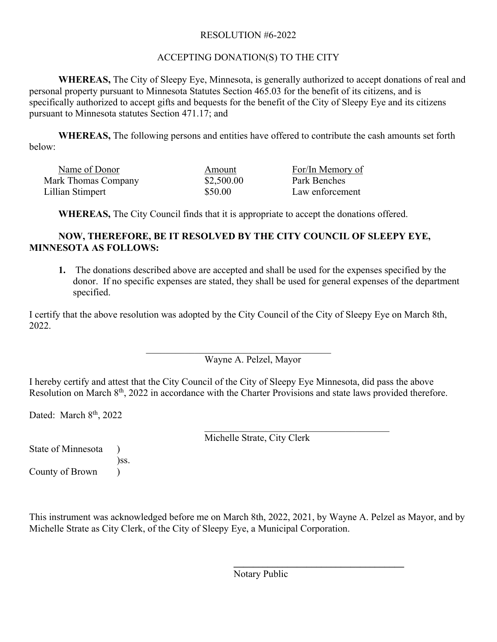# RESOLUTION #6-2022

# ACCEPTING DONATION(S) TO THE CITY

**WHEREAS,** The City of Sleepy Eye, Minnesota, is generally authorized to accept donations of real and personal property pursuant to Minnesota Statutes Section 465.03 for the benefit of its citizens, and is specifically authorized to accept gifts and bequests for the benefit of the City of Sleepy Eye and its citizens pursuant to Minnesota statutes Section 471.17; and

**WHEREAS,** The following persons and entities have offered to contribute the cash amounts set forth below:

| Name of Donor       | Amount     | For/In Memory of |
|---------------------|------------|------------------|
| Mark Thomas Company | \$2,500.00 | Park Benches     |
| Lillian Stimpert    | \$50.00    | Law enforcement  |

**WHEREAS,** The City Council finds that it is appropriate to accept the donations offered.

# **NOW, THEREFORE, BE IT RESOLVED BY THE CITY COUNCIL OF SLEEPY EYE, MINNESOTA AS FOLLOWS:**

**1.** The donations described above are accepted and shall be used for the expenses specified by the donor. If no specific expenses are stated, they shall be used for general expenses of the department specified.

I certify that the above resolution was adopted by the City Council of the City of Sleepy Eye on March 8th, 2022.

> \_\_\_\_\_\_\_\_\_\_\_\_\_\_\_\_\_\_\_\_\_\_\_\_\_\_\_\_\_\_\_\_\_\_\_\_\_\_ Wayne A. Pelzel, Mayor

I hereby certify and attest that the City Council of the City of Sleepy Eye Minnesota, did pass the above Resolution on March 8<sup>th</sup>, 2022 in accordance with the Charter Provisions and state laws provided therefore.

Dated: March 8<sup>th</sup>, 2022

\_\_\_\_\_\_\_\_\_\_\_\_\_\_\_\_\_\_\_\_\_\_\_\_\_\_\_\_\_\_\_\_\_\_\_\_\_\_ Michelle Strate, City Clerk

State of Minnesota ) )ss. County of Brown )

This instrument was acknowledged before me on March 8th, 2022, 2021, by Wayne A. Pelzel as Mayor, and by Michelle Strate as City Clerk, of the City of Sleepy Eye, a Municipal Corporation.

Notary Public

**\_\_\_\_\_\_\_\_\_\_\_\_\_\_\_\_\_\_\_\_\_\_\_\_\_\_\_\_\_\_\_\_\_\_\_**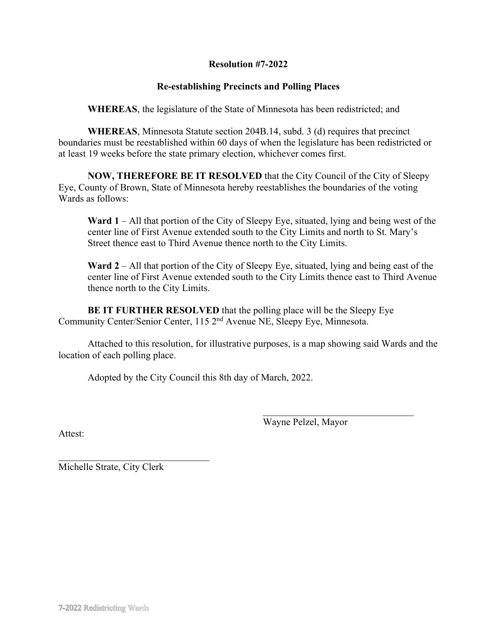## **Resolution #7-2022**

# **Re-establishing Precincts and Polling Places**

**WHEREAS**, the legislature of the State of Minnesota has been redistricted; and

**WHEREAS**, Minnesota Statute section 204B.14, subd. 3 (d) requires that precinct boundaries must be reestablished within 60 days of when the legislature has been redistricted or at least 19 weeks before the state primary election, whichever comes first.

**NOW, THEREFORE BE IT RESOLVED** that the City Council of the City of Sleepy Eye, County of Brown, State of Minnesota hereby reestablishes the boundaries of the voting Wards as follows:

**Ward 1** – All that portion of the City of Sleepy Eye, situated, lying and being west of the center line of First Avenue extended south to the City Limits and north to St. Mary's Street thence east to Third Avenue thence north to the City Limits.

**Ward 2** – All that portion of the City of Sleepy Eye, situated, lying and being east of the center line of First Avenue extended south to the City Limits thence east to Third Avenue thence north to the City Limits.

**BE IT FURTHER RESOLVED** that the polling place will be the Sleepy Eye Community Center/Senior Center, 115 2nd Avenue NE, Sleepy Eye, Minnesota.

Attached to this resolution, for illustrative purposes, is a map showing said Wards and the location of each polling place.

Adopted by the City Council this 8th day of March, 2022.

Wayne Pelzel, Mayor

 $\mathcal{L}_\text{max}$  , where  $\mathcal{L}_\text{max}$  and  $\mathcal{L}_\text{max}$ 

Attest:

 $\mathcal{L}_\mathcal{L}$ Michelle Strate, City Clerk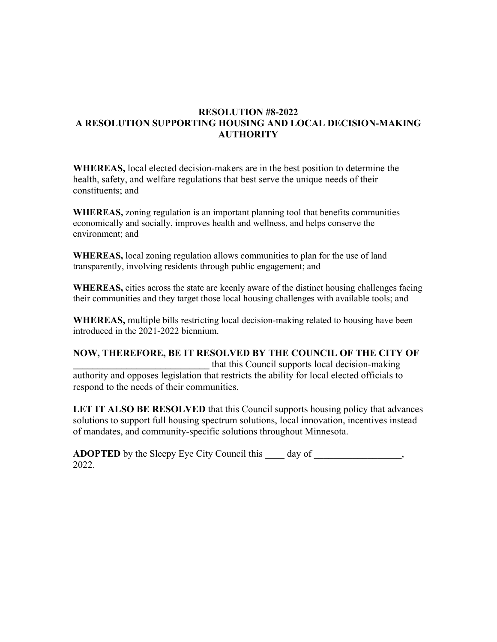# **RESOLUTION #8-2022 A RESOLUTION SUPPORTING HOUSING AND LOCAL DECISION-MAKING AUTHORITY**

**WHEREAS,** local elected decision-makers are in the best position to determine the health, safety, and welfare regulations that best serve the unique needs of their constituents; and

**WHEREAS,** zoning regulation is an important planning tool that benefits communities economically and socially, improves health and wellness, and helps conserve the environment; and

**WHEREAS,** local zoning regulation allows communities to plan for the use of land transparently, involving residents through public engagement; and

**WHEREAS,** cities across the state are keenly aware of the distinct housing challenges facing their communities and they target those local housing challenges with available tools; and

**WHEREAS,** multiple bills restricting local decision-making related to housing have been introduced in the 2021-2022 biennium.

**NOW, THEREFORE, BE IT RESOLVED BY THE COUNCIL OF THE CITY OF \_\_\_\_\_\_\_\_\_\_\_\_\_\_\_\_\_\_\_\_\_\_\_\_\_\_\_\_** that this Council supports local decision-making authority and opposes legislation that restricts the ability for local elected officials to respond to the needs of their communities.

**LET IT ALSO BE RESOLVED** that this Council supports housing policy that advances solutions to support full housing spectrum solutions, local innovation, incentives instead of mandates, and community-specific solutions throughout Minnesota.

**ADOPTED** by the Sleepy Eye City Council this \_\_\_\_ day of \_\_\_\_\_\_\_\_\_\_\_\_\_\_\_\_, 2022.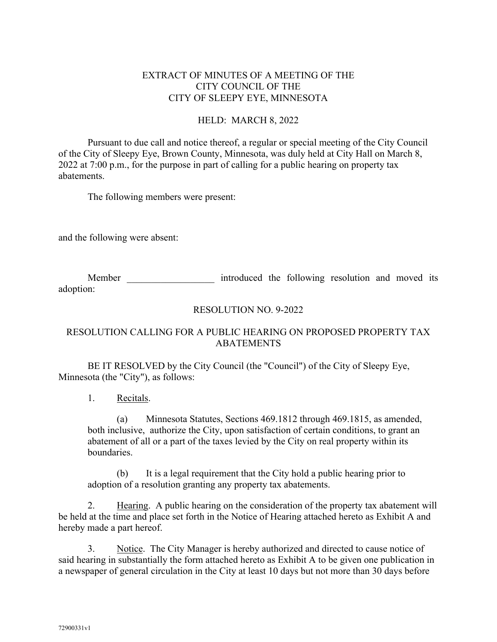# EXTRACT OF MINUTES OF A MEETING OF THE CITY COUNCIL OF THE CITY OF SLEEPY EYE, MINNESOTA

## HELD: MARCH 8, 2022

Pursuant to due call and notice thereof, a regular or special meeting of the City Council of the City of Sleepy Eye, Brown County, Minnesota, was duly held at City Hall on March 8, 2022 at 7:00 p.m., for the purpose in part of calling for a public hearing on property tax abatements.

The following members were present:

and the following were absent:

Member **Member** introduced the following resolution and moved its adoption:

## RESOLUTION NO. 9-2022

# RESOLUTION CALLING FOR A PUBLIC HEARING ON PROPOSED PROPERTY TAX ABATEMENTS

BE IT RESOLVED by the City Council (the "Council") of the City of Sleepy Eye, Minnesota (the "City"), as follows:

1. Recitals.

(a) Minnesota Statutes, Sections 469.1812 through 469.1815, as amended, both inclusive, authorize the City, upon satisfaction of certain conditions, to grant an abatement of all or a part of the taxes levied by the City on real property within its boundaries.

(b) It is a legal requirement that the City hold a public hearing prior to adoption of a resolution granting any property tax abatements.

2. Hearing. A public hearing on the consideration of the property tax abatement will be held at the time and place set forth in the Notice of Hearing attached hereto as Exhibit A and hereby made a part hereof.

3. Notice. The City Manager is hereby authorized and directed to cause notice of said hearing in substantially the form attached hereto as Exhibit A to be given one publication in a newspaper of general circulation in the City at least 10 days but not more than 30 days before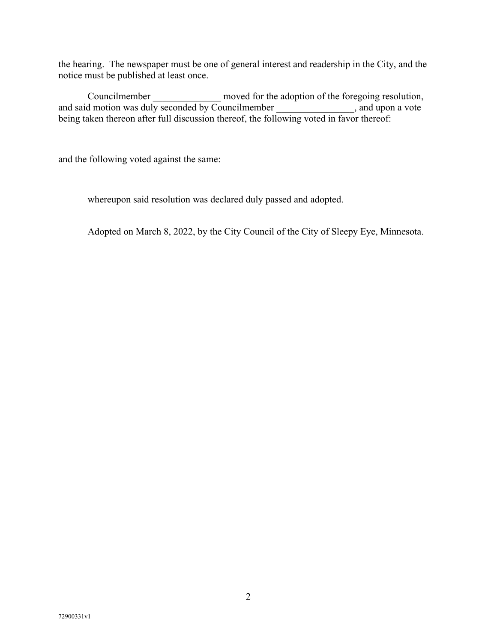the hearing. The newspaper must be one of general interest and readership in the City, and the notice must be published at least once.

Councilmember moved for the adoption of the foregoing resolution, and said motion was duly seconded by Councilmember \_\_\_\_\_\_\_\_\_\_\_\_\_\_\_, and upon a vote being taken thereon after full discussion thereof, the following voted in favor thereof:

and the following voted against the same:

whereupon said resolution was declared duly passed and adopted.

Adopted on March 8, 2022, by the City Council of the City of Sleepy Eye, Minnesota.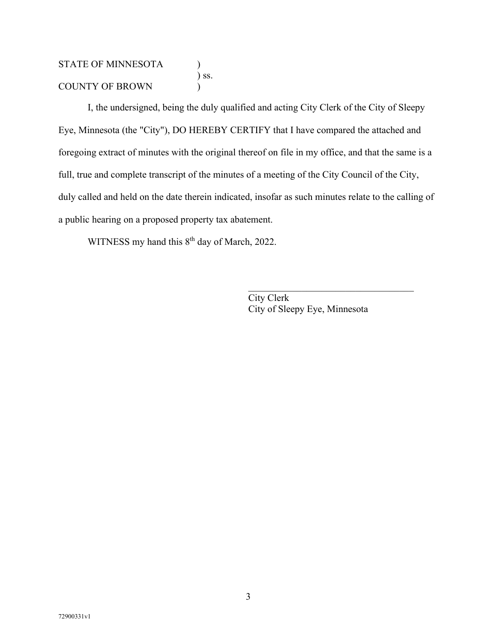# STATE OF MINNESOTA (1) ) ss. COUNTY OF BROWN (1)

I, the undersigned, being the duly qualified and acting City Clerk of the City of Sleepy Eye, Minnesota (the "City"), DO HEREBY CERTIFY that I have compared the attached and foregoing extract of minutes with the original thereof on file in my office, and that the same is a full, true and complete transcript of the minutes of a meeting of the City Council of the City, duly called and held on the date therein indicated, insofar as such minutes relate to the calling of a public hearing on a proposed property tax abatement.

WITNESS my hand this 8<sup>th</sup> day of March, 2022.

City Clerk City of Sleepy Eye, Minnesota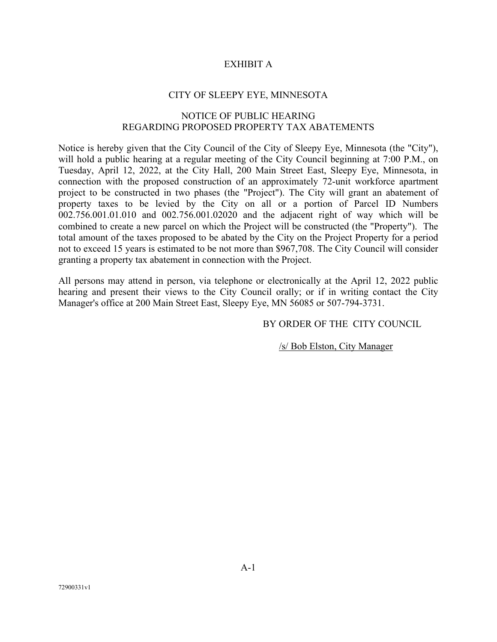## EXHIBIT A

#### CITY OF SLEEPY EYE, MINNESOTA

#### NOTICE OF PUBLIC HEARING REGARDING PROPOSED PROPERTY TAX ABATEMENTS

Notice is hereby given that the City Council of the City of Sleepy Eye, Minnesota (the "City"), will hold a public hearing at a regular meeting of the City Council beginning at 7:00 P.M., on Tuesday, April 12, 2022, at the City Hall, 200 Main Street East, Sleepy Eye, Minnesota, in connection with the proposed construction of an approximately 72-unit workforce apartment project to be constructed in two phases (the "Project"). The City will grant an abatement of property taxes to be levied by the City on all or a portion of Parcel ID Numbers 002.756.001.01.010 and 002.756.001.02020 and the adjacent right of way which will be combined to create a new parcel on which the Project will be constructed (the "Property"). The total amount of the taxes proposed to be abated by the City on the Project Property for a period not to exceed 15 years is estimated to be not more than \$967,708. The City Council will consider granting a property tax abatement in connection with the Project.

All persons may attend in person, via telephone or electronically at the April 12, 2022 public hearing and present their views to the City Council orally; or if in writing contact the City Manager's office at 200 Main Street East, Sleepy Eye, MN 56085 or 507-794-3731.

#### BY ORDER OF THE CITY COUNCIL

/s/ Bob Elston, City Manager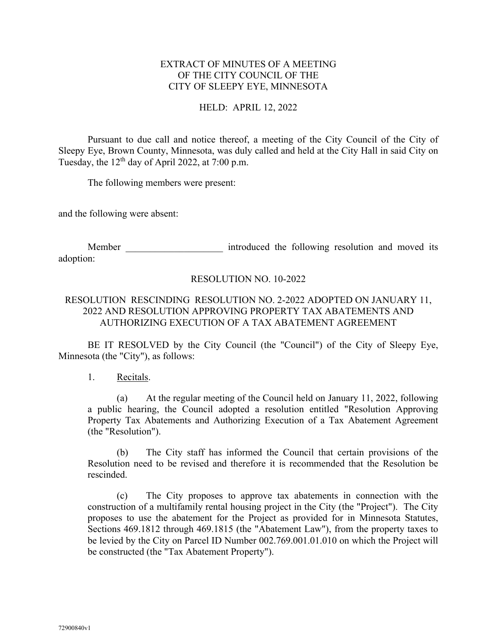## EXTRACT OF MINUTES OF A MEETING OF THE CITY COUNCIL OF THE CITY OF SLEEPY EYE, MINNESOTA

## HELD: APRIL 12, 2022

Pursuant to due call and notice thereof, a meeting of the City Council of the City of Sleepy Eye, Brown County, Minnesota, was duly called and held at the City Hall in said City on Tuesday, the  $12<sup>th</sup>$  day of April 2022, at 7:00 p.m.

The following members were present:

and the following were absent:

Member **Member** introduced the following resolution and moved its adoption:

## RESOLUTION NO. 10-2022

## RESOLUTION RESCINDING RESOLUTION NO. 2-2022 ADOPTED ON JANUARY 11, 2022 AND RESOLUTION APPROVING PROPERTY TAX ABATEMENTS AND AUTHORIZING EXECUTION OF A TAX ABATEMENT AGREEMENT

BE IT RESOLVED by the City Council (the "Council") of the City of Sleepy Eye, Minnesota (the "City"), as follows:

1. Recitals.

(a) At the regular meeting of the Council held on January 11, 2022, following a public hearing, the Council adopted a resolution entitled "Resolution Approving Property Tax Abatements and Authorizing Execution of a Tax Abatement Agreement (the "Resolution").

(b) The City staff has informed the Council that certain provisions of the Resolution need to be revised and therefore it is recommended that the Resolution be rescinded.

(c) The City proposes to approve tax abatements in connection with the construction of a multifamily rental housing project in the City (the "Project"). The City proposes to use the abatement for the Project as provided for in Minnesota Statutes, Sections 469.1812 through 469.1815 (the "Abatement Law"), from the property taxes to be levied by the City on Parcel ID Number 002.769.001.01.010 on which the Project will be constructed (the "Tax Abatement Property").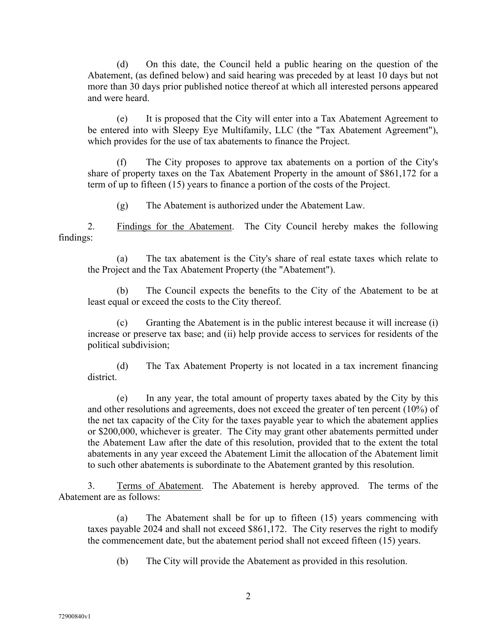(d) On this date, the Council held a public hearing on the question of the Abatement, (as defined below) and said hearing was preceded by at least 10 days but not more than 30 days prior published notice thereof at which all interested persons appeared and were heard.

(e) It is proposed that the City will enter into a Tax Abatement Agreement to be entered into with Sleepy Eye Multifamily, LLC (the "Tax Abatement Agreement"), which provides for the use of tax abatements to finance the Project.

(f) The City proposes to approve tax abatements on a portion of the City's share of property taxes on the Tax Abatement Property in the amount of \$861,172 for a term of up to fifteen (15) years to finance a portion of the costs of the Project.

(g) The Abatement is authorized under the Abatement Law.

2. Findings for the Abatement. The City Council hereby makes the following findings:

(a) The tax abatement is the City's share of real estate taxes which relate to the Project and the Tax Abatement Property (the "Abatement").

(b) The Council expects the benefits to the City of the Abatement to be at least equal or exceed the costs to the City thereof.

(c) Granting the Abatement is in the public interest because it will increase (i) increase or preserve tax base; and (ii) help provide access to services for residents of the political subdivision;

(d) The Tax Abatement Property is not located in a tax increment financing district.

(e) In any year, the total amount of property taxes abated by the City by this and other resolutions and agreements, does not exceed the greater of ten percent (10%) of the net tax capacity of the City for the taxes payable year to which the abatement applies or \$200,000, whichever is greater. The City may grant other abatements permitted under the Abatement Law after the date of this resolution, provided that to the extent the total abatements in any year exceed the Abatement Limit the allocation of the Abatement limit to such other abatements is subordinate to the Abatement granted by this resolution.

3. Terms of Abatement. The Abatement is hereby approved. The terms of the Abatement are as follows:

(a) The Abatement shall be for up to fifteen (15) years commencing with taxes payable 2024 and shall not exceed \$861,172. The City reserves the right to modify the commencement date, but the abatement period shall not exceed fifteen (15) years.

(b) The City will provide the Abatement as provided in this resolution.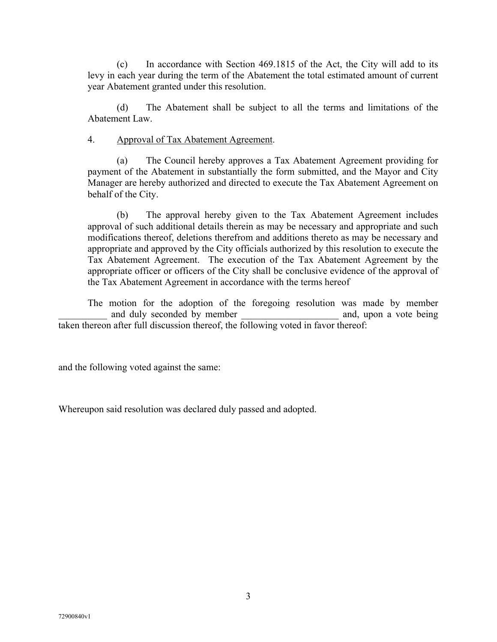(c) In accordance with Section 469.1815 of the Act, the City will add to its levy in each year during the term of the Abatement the total estimated amount of current year Abatement granted under this resolution.

(d) The Abatement shall be subject to all the terms and limitations of the Abatement Law.

## 4. Approval of Tax Abatement Agreement.

(a) The Council hereby approves a Tax Abatement Agreement providing for payment of the Abatement in substantially the form submitted, and the Mayor and City Manager are hereby authorized and directed to execute the Tax Abatement Agreement on behalf of the City.

(b) The approval hereby given to the Tax Abatement Agreement includes approval of such additional details therein as may be necessary and appropriate and such modifications thereof, deletions therefrom and additions thereto as may be necessary and appropriate and approved by the City officials authorized by this resolution to execute the Tax Abatement Agreement. The execution of the Tax Abatement Agreement by the appropriate officer or officers of the City shall be conclusive evidence of the approval of the Tax Abatement Agreement in accordance with the terms hereof

The motion for the adoption of the foregoing resolution was made by member and duly seconded by member and, upon a vote being taken thereon after full discussion thereof, the following voted in favor thereof:

and the following voted against the same:

Whereupon said resolution was declared duly passed and adopted.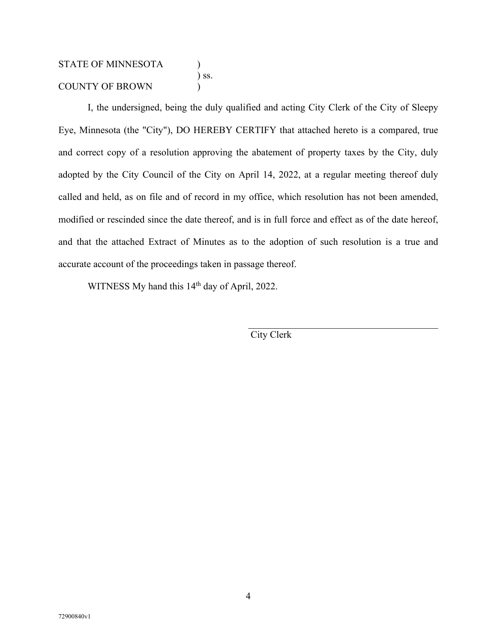# STATE OF MINNESOTA ) ) ss. COUNTY OF BROWN (1)

I, the undersigned, being the duly qualified and acting City Clerk of the City of Sleepy Eye, Minnesota (the "City"), DO HEREBY CERTIFY that attached hereto is a compared, true and correct copy of a resolution approving the abatement of property taxes by the City, duly adopted by the City Council of the City on April 14, 2022, at a regular meeting thereof duly called and held, as on file and of record in my office, which resolution has not been amended, modified or rescinded since the date thereof, and is in full force and effect as of the date hereof, and that the attached Extract of Minutes as to the adoption of such resolution is a true and accurate account of the proceedings taken in passage thereof.

WITNESS My hand this 14<sup>th</sup> day of April, 2022.

City Clerk

\_\_\_\_\_\_\_\_\_\_\_\_\_\_\_\_\_\_\_\_\_\_\_\_\_\_\_\_\_\_\_\_\_\_\_\_\_\_\_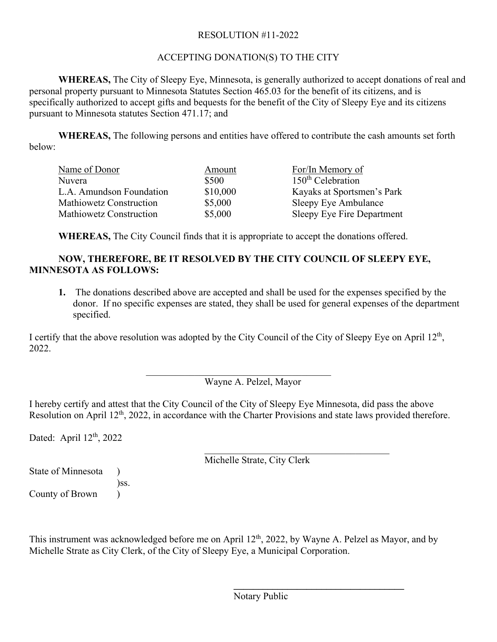# RESOLUTION #11-2022

# ACCEPTING DONATION(S) TO THE CITY

**WHEREAS,** The City of Sleepy Eye, Minnesota, is generally authorized to accept donations of real and personal property pursuant to Minnesota Statutes Section 465.03 for the benefit of its citizens, and is specifically authorized to accept gifts and bequests for the benefit of the City of Sleepy Eye and its citizens pursuant to Minnesota statutes Section 471.17; and

**WHEREAS,** The following persons and entities have offered to contribute the cash amounts set forth below:

| Name of Donor                  | Amount   | For/In Memory of              |
|--------------------------------|----------|-------------------------------|
| Nuvera                         | \$500    | 150 <sup>th</sup> Celebration |
| L.A. Amundson Foundation       | \$10,000 | Kayaks at Sportsmen's Park    |
| Mathiowetz Construction        | \$5,000  | Sleepy Eye Ambulance          |
| <b>Mathiowetz Construction</b> | \$5,000  | Sleepy Eye Fire Department    |

**WHEREAS,** The City Council finds that it is appropriate to accept the donations offered.

# **NOW, THEREFORE, BE IT RESOLVED BY THE CITY COUNCIL OF SLEEPY EYE, MINNESOTA AS FOLLOWS:**

**1.** The donations described above are accepted and shall be used for the expenses specified by the donor. If no specific expenses are stated, they shall be used for general expenses of the department specified.

I certify that the above resolution was adopted by the City Council of the City of Sleepy Eye on April  $12<sup>th</sup>$ , 2022.

> \_\_\_\_\_\_\_\_\_\_\_\_\_\_\_\_\_\_\_\_\_\_\_\_\_\_\_\_\_\_\_\_\_\_\_\_\_\_ Wayne A. Pelzel, Mayor

I hereby certify and attest that the City Council of the City of Sleepy Eye Minnesota, did pass the above Resolution on April 12<sup>th</sup>, 2022, in accordance with the Charter Provisions and state laws provided therefore.

Dated: April 12<sup>th</sup>, 2022

Michelle Strate, City Clerk

State of Minnesota ) )ss. County of Brown )

This instrument was acknowledged before me on April 12<sup>th</sup>, 2022, by Wayne A. Pelzel as Mayor, and by Michelle Strate as City Clerk, of the City of Sleepy Eye, a Municipal Corporation.

Notary Public

**\_\_\_\_\_\_\_\_\_\_\_\_\_\_\_\_\_\_\_\_\_\_\_\_\_\_\_\_\_\_\_\_\_\_\_**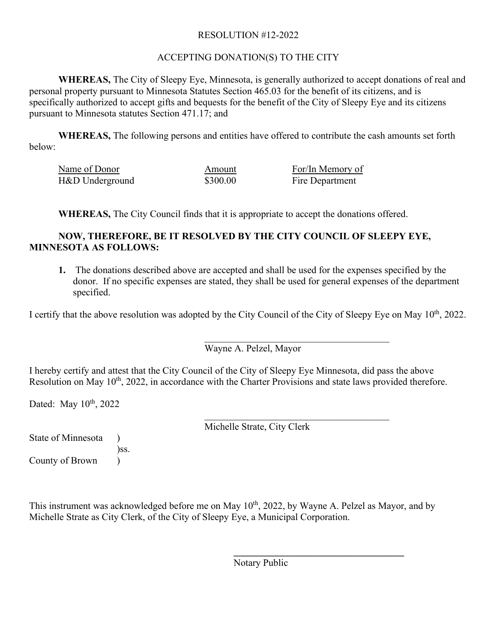# RESOLUTION #12-2022

# ACCEPTING DONATION(S) TO THE CITY

**WHEREAS,** The City of Sleepy Eye, Minnesota, is generally authorized to accept donations of real and personal property pursuant to Minnesota Statutes Section 465.03 for the benefit of its citizens, and is specifically authorized to accept gifts and bequests for the benefit of the City of Sleepy Eye and its citizens pursuant to Minnesota statutes Section 471.17; and

**WHEREAS,** The following persons and entities have offered to contribute the cash amounts set forth below:

| Name of Donor   | Amount   | For/In Memory of |  |
|-----------------|----------|------------------|--|
| H&D Underground | \$300.00 | Fire Department  |  |

**WHEREAS,** The City Council finds that it is appropriate to accept the donations offered.

# **NOW, THEREFORE, BE IT RESOLVED BY THE CITY COUNCIL OF SLEEPY EYE, MINNESOTA AS FOLLOWS:**

**1.** The donations described above are accepted and shall be used for the expenses specified by the donor. If no specific expenses are stated, they shall be used for general expenses of the department specified.

I certify that the above resolution was adopted by the City Council of the City of Sleepy Eye on May 10<sup>th</sup>, 2022.

Wayne A. Pelzel, Mayor

I hereby certify and attest that the City Council of the City of Sleepy Eye Minnesota, did pass the above Resolution on May 10<sup>th</sup>, 2022, in accordance with the Charter Provisions and state laws provided therefore.

Dated: May  $10^{th}$ , 2022

\_\_\_\_\_\_\_\_\_\_\_\_\_\_\_\_\_\_\_\_\_\_\_\_\_\_\_\_\_\_\_\_\_\_\_\_\_\_ Michelle Strate, City Clerk

State of Minnesota ) )ss. County of Brown )

This instrument was acknowledged before me on May 10<sup>th</sup>, 2022, by Wayne A. Pelzel as Mayor, and by Michelle Strate as City Clerk, of the City of Sleepy Eye, a Municipal Corporation.

Notary Public

**\_\_\_\_\_\_\_\_\_\_\_\_\_\_\_\_\_\_\_\_\_\_\_\_\_\_\_\_\_\_\_\_\_\_\_**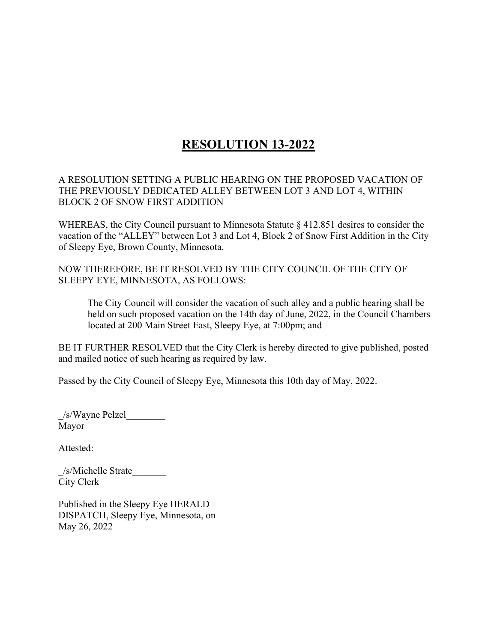# **RESOLUTION 13-2022**

A RESOLUTION SETTING A PUBLIC HEARING ON THE PROPOSED VACATION OF THE PREVIOUSLY DEDICATED ALLEY BETWEEN LOT 3 AND LOT 4, WITHIN BLOCK 2 OF SNOW FIRST ADDITION

WHEREAS, the City Council pursuant to Minnesota Statute § 412.851 desires to consider the vacation of the "ALLEY" between Lot 3 and Lot 4, Block 2 of Snow First Addition in the City of Sleepy Eye, Brown County, Minnesota.

NOW THEREFORE, BE IT RESOLVED BY THE CITY COUNCIL OF THE CITY OF SLEEPY EYE, MINNESOTA, AS FOLLOWS:

The City Council will consider the vacation of such alley and a public hearing shall be held on such proposed vacation on the 14th day of June, 2022, in the Council Chambers located at 200 Main Street East, Sleepy Eye, at 7:00pm; and

BE IT FURTHER RESOLVED that the City Clerk is hereby directed to give published, posted and mailed notice of such hearing as required by law.

Passed by the City Council of Sleepy Eye, Minnesota this 10th day of May, 2022.

\_/s/Wayne Pelzel\_\_\_\_\_\_\_\_ Mayor

Attested:

/s/Michelle Strate City Clerk

Published in the Sleepy Eye HERALD DISPATCH, Sleepy Eye, Minnesota, on May 26, 2022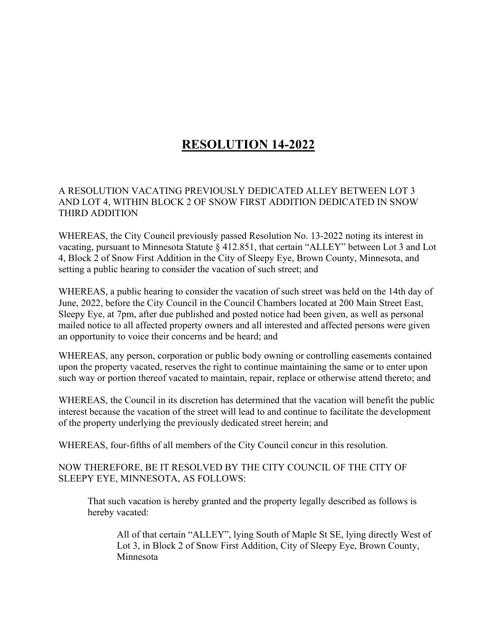# **RESOLUTION 14-2022**

# A RESOLUTION VACATING PREVIOUSLY DEDICATED ALLEY BETWEEN LOT 3 AND LOT 4, WITHIN BLOCK 2 OF SNOW FIRST ADDITION DEDICATED IN SNOW THIRD ADDITION

WHEREAS, the City Council previously passed Resolution No. 13-2022 noting its interest in vacating, pursuant to Minnesota Statute § 412.851, that certain "ALLEY" between Lot 3 and Lot 4, Block 2 of Snow First Addition in the City of Sleepy Eye, Brown County, Minnesota, and setting a public hearing to consider the vacation of such street; and

WHEREAS, a public hearing to consider the vacation of such street was held on the 14th day of June, 2022, before the City Council in the Council Chambers located at 200 Main Street East, Sleepy Eye, at 7pm, after due published and posted notice had been given, as well as personal mailed notice to all affected property owners and all interested and affected persons were given an opportunity to voice their concerns and be heard; and

WHEREAS, any person, corporation or public body owning or controlling easements contained upon the property vacated, reserves the right to continue maintaining the same or to enter upon such way or portion thereof vacated to maintain, repair, replace or otherwise attend thereto; and

WHEREAS, the Council in its discretion has determined that the vacation will benefit the public interest because the vacation of the street will lead to and continue to facilitate the development of the property underlying the previously dedicated street herein; and

WHEREAS, four-fifths of all members of the City Council concur in this resolution.

NOW THEREFORE, BE IT RESOLVED BY THE CITY COUNCIL OF THE CITY OF SLEEPY EYE, MINNESOTA, AS FOLLOWS:

That such vacation is hereby granted and the property legally described as follows is hereby vacated:

All of that certain "ALLEY", lying South of Maple St SE, lying directly West of Lot 3, in Block 2 of Snow First Addition, City of Sleepy Eye, Brown County, Minnesota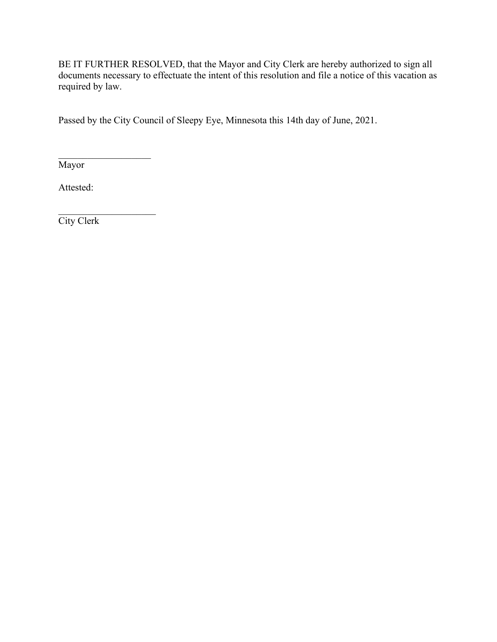BE IT FURTHER RESOLVED, that the Mayor and City Clerk are hereby authorized to sign all documents necessary to effectuate the intent of this resolution and file a notice of this vacation as required by law.

Passed by the City Council of Sleepy Eye, Minnesota this 14th day of June, 2021.

 $\mathcal{L}_\text{max}$  , where  $\mathcal{L}_\text{max}$ Mayor

Attested:

 $\overline{\phantom{a}}$  . The set of the set of the set of the set of the set of the set of the set of the set of the set of the set of the set of the set of the set of the set of the set of the set of the set of the set of the set o City Clerk